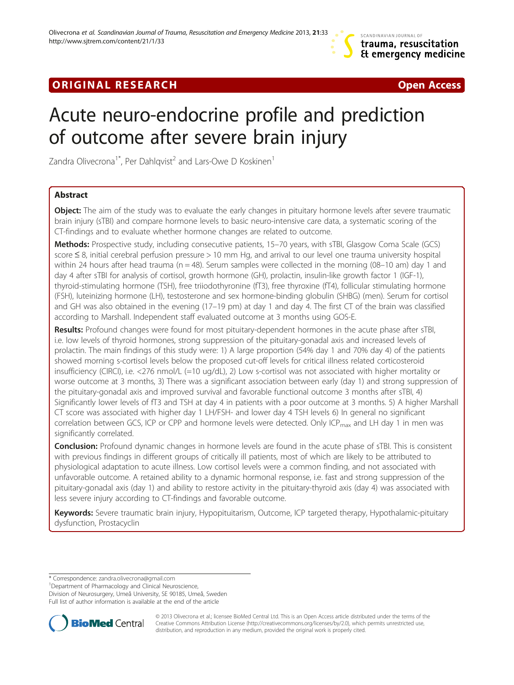## **ORIGINAL RESEARCH CONSUMING A RESEARCH CONSUMING A RESEARCH**



# Acute neuro-endocrine profile and prediction of outcome after severe brain injury

Zandra Olivecrona<sup>1\*</sup>, Per Dahlqvist<sup>2</sup> and Lars-Owe D Koskinen<sup>1</sup>

## Abstract

Object: The aim of the study was to evaluate the early changes in pituitary hormone levels after severe traumatic brain injury (sTBI) and compare hormone levels to basic neuro-intensive care data, a systematic scoring of the CT-findings and to evaluate whether hormone changes are related to outcome.

Methods: Prospective study, including consecutive patients, 15–70 years, with sTBI, Glasgow Coma Scale (GCS) score ≤ 8, initial cerebral perfusion pressure > 10 mm Hg, and arrival to our level one trauma university hospital within 24 hours after head trauma ( $n = 48$ ). Serum samples were collected in the morning (08–10 am) day 1 and day 4 after sTBI for analysis of cortisol, growth hormone (GH), prolactin, insulin-like growth factor 1 (IGF-1), thyroid-stimulating hormone (TSH), free triiodothyronine (fT3), free thyroxine (fT4), follicular stimulating hormone (FSH), luteinizing hormone (LH), testosterone and sex hormone-binding globulin (SHBG) (men). Serum for cortisol and GH was also obtained in the evening (17–19 pm) at day 1 and day 4. The first CT of the brain was classified according to Marshall. Independent staff evaluated outcome at 3 months using GOS-E.

Results: Profound changes were found for most pituitary-dependent hormones in the acute phase after sTBI, i.e. low levels of thyroid hormones, strong suppression of the pituitary-gonadal axis and increased levels of prolactin. The main findings of this study were: 1) A large proportion (54% day 1 and 70% day 4) of the patients showed morning s-cortisol levels below the proposed cut-off levels for critical illness related corticosteroid insufficiency (CIRCI), i.e. <276 nmol/L (=10 ug/dL), 2) Low s-cortisol was not associated with higher mortality or worse outcome at 3 months, 3) There was a significant association between early (day 1) and strong suppression of the pituitary-gonadal axis and improved survival and favorable functional outcome 3 months after sTBI, 4) Significantly lower levels of fT3 and TSH at day 4 in patients with a poor outcome at 3 months. 5) A higher Marshall CT score was associated with higher day 1 LH/FSH- and lower day 4 TSH levels 6) In general no significant correlation between GCS, ICP or CPP and hormone levels were detected. Only ICP<sub>max</sub> and LH day 1 in men was significantly correlated.

Conclusion: Profound dynamic changes in hormone levels are found in the acute phase of sTBI. This is consistent with previous findings in different groups of critically ill patients, most of which are likely to be attributed to physiological adaptation to acute illness. Low cortisol levels were a common finding, and not associated with unfavorable outcome. A retained ability to a dynamic hormonal response, i.e. fast and strong suppression of the pituitary-gonadal axis (day 1) and ability to restore activity in the pituitary-thyroid axis (day 4) was associated with less severe injury according to CT-findings and favorable outcome.

Keywords: Severe traumatic brain injury, Hypopituitarism, Outcome, ICP targeted therapy, Hypothalamic-pituitary dysfunction, Prostacyclin

\* Correspondence: [zandra.olivecrona@gmail.com](mailto:zandra.olivecrona@gmail.com) <sup>1</sup>

<sup>1</sup>Department of Pharmacology and Clinical Neuroscience,

Division of Neurosurgery, Umeå University, SE 90185, Umeå, Sweden

Full list of author information is available at the end of the article



© 2013 Olivecrona et al.; licensee BioMed Central Ltd. This is an Open Access article distributed under the terms of the Creative Commons Attribution License (<http://creativecommons.org/licenses/by/2.0>), which permits unrestricted use, distribution, and reproduction in any medium, provided the original work is properly cited.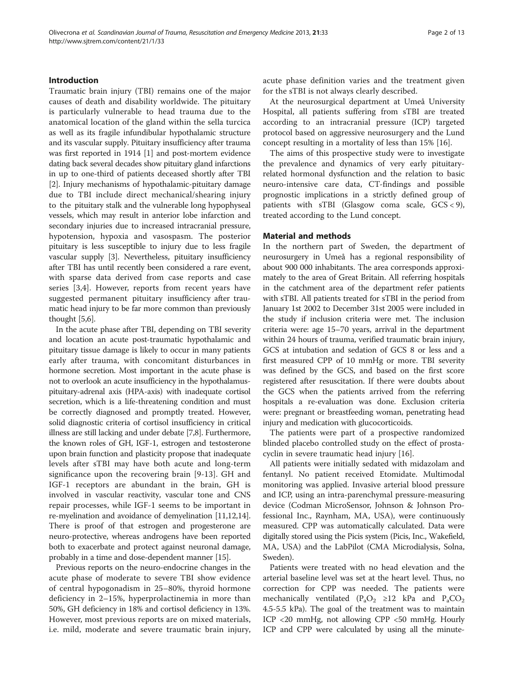### Introduction

Traumatic brain injury (TBI) remains one of the major causes of death and disability worldwide. The pituitary is particularly vulnerable to head trauma due to the anatomical location of the gland within the sella turcica as well as its fragile infundibular hypothalamic structure and its vascular supply. Pituitary insufficiency after trauma was first reported in 1914 [[1\]](#page-10-0) and post-mortem evidence dating back several decades show pituitary gland infarctions in up to one-third of patients deceased shortly after TBI [[2\]](#page-10-0). Injury mechanisms of hypothalamic-pituitary damage due to TBI include direct mechanical/shearing injury to the pituitary stalk and the vulnerable long hypophyseal vessels, which may result in anterior lobe infarction and secondary injuries due to increased intracranial pressure, hypotension, hypoxia and vasospasm. The posterior pituitary is less susceptible to injury due to less fragile vascular supply [\[3](#page-10-0)]. Nevertheless, pituitary insufficiency after TBI has until recently been considered a rare event, with sparse data derived from case reports and case series [[3,4](#page-10-0)]. However, reports from recent years have suggested permanent pituitary insufficiency after traumatic head injury to be far more common than previously thought [[5,6\]](#page-10-0).

In the acute phase after TBI, depending on TBI severity and location an acute post-traumatic hypothalamic and pituitary tissue damage is likely to occur in many patients early after trauma, with concomitant disturbances in hormone secretion. Most important in the acute phase is not to overlook an acute insufficiency in the hypothalamuspituitary-adrenal axis (HPA-axis) with inadequate cortisol secretion, which is a life-threatening condition and must be correctly diagnosed and promptly treated. However, solid diagnostic criteria of cortisol insufficiency in critical illness are still lacking and under debate [\[7,8](#page-11-0)]. Furthermore, the known roles of GH, IGF-1, estrogen and testosterone upon brain function and plasticity propose that inadequate levels after sTBI may have both acute and long-term significance upon the recovering brain [\[9](#page-11-0)-[13\]](#page-11-0). GH and IGF-1 receptors are abundant in the brain, GH is involved in vascular reactivity, vascular tone and CNS repair processes, while IGF-1 seems to be important in re-myelination and avoidance of demyelination [\[11,12,14](#page-11-0)]. There is proof of that estrogen and progesterone are neuro-protective, whereas androgens have been reported both to exacerbate and protect against neuronal damage, probably in a time and dose-dependent manner [[15](#page-11-0)].

Previous reports on the neuro-endocrine changes in the acute phase of moderate to severe TBI show evidence of central hypogonadism in 25–80%, thyroid hormone deficiency in 2–15%, hyperprolactinemia in more than 50%, GH deficiency in 18% and cortisol deficiency in 13%. However, most previous reports are on mixed materials, i.e. mild, moderate and severe traumatic brain injury, acute phase definition varies and the treatment given for the sTBI is not always clearly described.

At the neurosurgical department at Umeå University Hospital, all patients suffering from sTBI are treated according to an intracranial pressure (ICP) targeted protocol based on aggressive neurosurgery and the Lund concept resulting in a mortality of less than 15% [\[16\]](#page-11-0).

The aims of this prospective study were to investigate the prevalence and dynamics of very early pituitaryrelated hormonal dysfunction and the relation to basic neuro-intensive care data, CT-findings and possible prognostic implications in a strictly defined group of patients with sTBI (Glasgow coma scale,  $GCS < 9$ ), treated according to the Lund concept.

## Material and methods

In the northern part of Sweden, the department of neurosurgery in Umeå has a regional responsibility of about 900 000 inhabitants. The area corresponds approximately to the area of Great Britain. All referring hospitals in the catchment area of the department refer patients with sTBI. All patients treated for sTBI in the period from January 1st 2002 to December 31st 2005 were included in the study if inclusion criteria were met. The inclusion criteria were: age 15–70 years, arrival in the department within 24 hours of trauma, verified traumatic brain injury, GCS at intubation and sedation of GCS 8 or less and a first measured CPP of 10 mmHg or more. TBI severity was defined by the GCS, and based on the first score registered after resuscitation. If there were doubts about the GCS when the patients arrived from the referring hospitals a re-evaluation was done. Exclusion criteria were: pregnant or breastfeeding woman, penetrating head injury and medication with glucocorticoids.

The patients were part of a prospective randomized blinded placebo controlled study on the effect of prostacyclin in severe traumatic head injury [[16\]](#page-11-0).

All patients were initially sedated with midazolam and fentanyl. No patient received Etomidate. Multimodal monitoring was applied. Invasive arterial blood pressure and ICP, using an intra-parenchymal pressure-measuring device (Codman MicroSensor, Johnson & Johnson Professional Inc., Raynham, MA, USA), were continuously measured. CPP was automatically calculated. Data were digitally stored using the Picis system (Picis, Inc., Wakefield, MA, USA) and the LabPilot (CMA Microdialysis, Solna, Sweden).

Patients were treated with no head elevation and the arterial baseline level was set at the heart level. Thus, no correction for CPP was needed. The patients were mechanically ventilated ( $P_aO_2 \ge 12$  kPa and  $P_aCO_2$ 4.5-5.5 kPa). The goal of the treatment was to maintain ICP <20 mmHg, not allowing CPP <50 mmHg. Hourly ICP and CPP were calculated by using all the minute-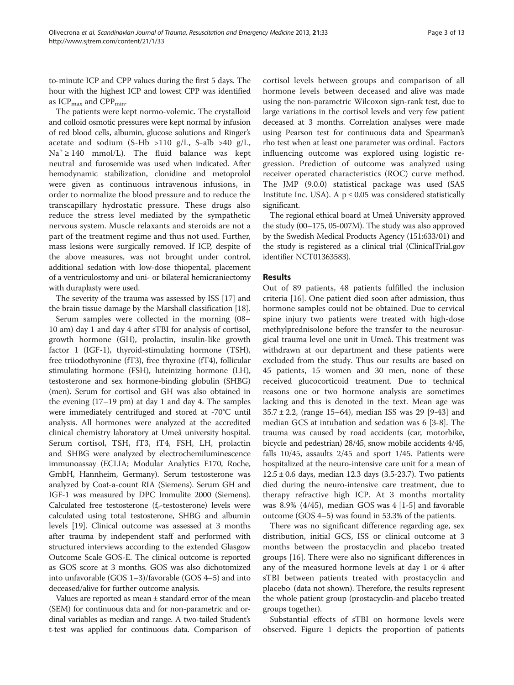to-minute ICP and CPP values during the first 5 days. The hour with the highest ICP and lowest CPP was identified as  $ICP<sub>max</sub>$  and  $CPP<sub>min</sub>$ .

The patients were kept normo-volemic. The crystalloid and colloid osmotic pressures were kept normal by infusion of red blood cells, albumin, glucose solutions and Ringer's acetate and sodium  $(S-Hb > 110 g/L, S-alb > 40 g/L,$  $Na<sup>+</sup> \ge 140$  mmol/L). The fluid balance was kept neutral and furosemide was used when indicated. After hemodynamic stabilization, clonidine and metoprolol were given as continuous intravenous infusions, in order to normalize the blood pressure and to reduce the transcapillary hydrostatic pressure. These drugs also reduce the stress level mediated by the sympathetic nervous system. Muscle relaxants and steroids are not a part of the treatment regime and thus not used. Further, mass lesions were surgically removed. If ICP, despite of the above measures, was not brought under control, additional sedation with low-dose thiopental, placement of a ventriculostomy and uni- or bilateral hemicraniectomy with duraplasty were used.

The severity of the trauma was assessed by ISS [\[17\]](#page-11-0) and the brain tissue damage by the Marshall classification [\[18\]](#page-11-0).

Serum samples were collected in the morning (08– 10 am) day 1 and day 4 after sTBI for analysis of cortisol, growth hormone (GH), prolactin, insulin-like growth factor 1 (IGF-1), thyroid-stimulating hormone (TSH), free triiodothyronine (fT3), free thyroxine (fT4), follicular stimulating hormone (FSH), luteinizing hormone (LH), testosterone and sex hormone-binding globulin (SHBG) (men). Serum for cortisol and GH was also obtained in the evening (17–19 pm) at day 1 and day 4. The samples were immediately centrifuged and stored at -70°C until analysis. All hormones were analyzed at the accredited clinical chemistry laboratory at Umeå university hospital. Serum cortisol, TSH, fT3, fT4, FSH, LH, prolactin and SHBG were analyzed by electrochemiluminescence immunoassay (ECLIA; Modular Analytics E170, Roche, GmbH, Hannheim, Germany). Serum testosterone was analyzed by Coat-a-count RIA (Siemens). Serum GH and IGF-1 was measured by DPC Immulite 2000 (Siemens). Calculated free testosterone ( $f_c$ -testosterone) levels were calculated using total testosterone, SHBG and albumin levels [\[19\]](#page-11-0). Clinical outcome was assessed at 3 months after trauma by independent staff and performed with structured interviews according to the extended Glasgow Outcome Scale GOS-E. The clinical outcome is reported as GOS score at 3 months. GOS was also dichotomized into unfavorable (GOS 1–3)/favorable (GOS 4–5) and into deceased/alive for further outcome analysis.

Values are reported as mean  $\pm$  standard error of the mean (SEM) for continuous data and for non-parametric and ordinal variables as median and range. A two-tailed Student's t-test was applied for continuous data. Comparison of cortisol levels between groups and comparison of all hormone levels between deceased and alive was made using the non-parametric Wilcoxon sign-rank test, due to large variations in the cortisol levels and very few patient deceased at 3 months. Correlation analyses were made using Pearson test for continuous data and Spearman's rho test when at least one parameter was ordinal. Factors influencing outcome was explored using logistic regression. Prediction of outcome was analyzed using receiver operated characteristics (ROC) curve method. The JMP (9.0.0) statistical package was used (SAS Institute Inc. USA). A  $p \leq 0.05$  was considered statistically significant.

The regional ethical board at Umeå University approved the study (00–175, 05-007M). The study was also approved by the Swedish Medical Products Agency (151:633/01) and the study is registered as a clinical trial (ClinicalTrial.gov identifier NCT01363583).

#### Results

Out of 89 patients, 48 patients fulfilled the inclusion criteria [[16\]](#page-11-0). One patient died soon after admission, thus hormone samples could not be obtained. Due to cervical spine injury two patients were treated with high-dose methylprednisolone before the transfer to the neurosurgical trauma level one unit in Umeå. This treatment was withdrawn at our department and these patients were excluded from the study. Thus our results are based on 45 patients, 15 women and 30 men, none of these received glucocorticoid treatment. Due to technical reasons one or two hormone analysis are sometimes lacking and this is denoted in the text. Mean age was 35.7 ± 2.2, (range 15–64), median ISS was 29 [[9](#page-11-0)-[43\]](#page-11-0) and median GCS at intubation and sedation was 6 [[3-](#page-10-0)[8](#page-11-0)]. The trauma was caused by road accidents (car, motorbike, bicycle and pedestrian) 28/45, snow mobile accidents 4/45, falls 10/45, assaults 2/45 and sport 1/45. Patients were hospitalized at the neuro-intensive care unit for a mean of  $12.5 \pm 0.6$  days, median 12.3 days (3.5-23.7). Two patients died during the neuro-intensive care treatment, due to therapy refractive high ICP. At 3 months mortality was 8.9% (4/45), median GOS was 4 [[1-5\]](#page-10-0) and favorable outcome (GOS 4–5) was found in 53.3% of the patients.

There was no significant difference regarding age, sex distribution, initial GCS, ISS or clinical outcome at 3 months between the prostacyclin and placebo treated groups [[16\]](#page-11-0). There were also no significant differences in any of the measured hormone levels at day 1 or 4 after sTBI between patients treated with prostacyclin and placebo (data not shown). Therefore, the results represent the whole patient group (prostacyclin-and placebo treated groups together).

Substantial effects of sTBI on hormone levels were observed. Figure [1](#page-3-0) depicts the proportion of patients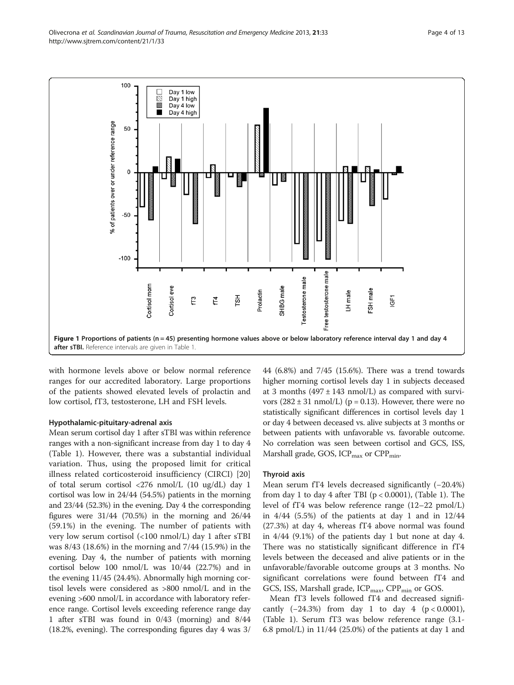<span id="page-3-0"></span>

with hormone levels above or below normal reference ranges for our accredited laboratory. Large proportions of the patients showed elevated levels of prolactin and low cortisol, fT3, testosterone, LH and FSH levels.

#### Hypothalamic-pituitary-adrenal axis

Mean serum cortisol day 1 after sTBI was within reference ranges with a non-significant increase from day 1 to day 4 (Table [1](#page-4-0)). However, there was a substantial individual variation. Thus, using the proposed limit for critical illness related corticosteroid insufficiency (CIRCI) [\[20](#page-11-0)] of total serum cortisol <276 nmol/L (10 ug/dL) day 1 cortisol was low in 24/44 (54.5%) patients in the morning and 23/44 (52.3%) in the evening. Day 4 the corresponding figures were  $31/44$  (70.5%) in the morning and  $26/44$ (59.1%) in the evening. The number of patients with very low serum cortisol (<100 nmol/L) day 1 after sTBI was 8/43 (18.6%) in the morning and 7/44 (15.9%) in the evening. Day 4, the number of patients with morning cortisol below 100 nmol/L was 10/44 (22.7%) and in the evening 11/45 (24.4%). Abnormally high morning cortisol levels were considered as >800 nmol/L and in the evening >600 nmol/L in accordance with laboratory reference range. Cortisol levels exceeding reference range day 1 after sTBI was found in 0/43 (morning) and 8/44 (18.2%, evening). The corresponding figures day 4 was 3/ 44 (6.8%) and 7/45 (15.6%). There was a trend towards higher morning cortisol levels day 1 in subjects deceased at 3 months  $(497 \pm 143 \text{ nmol/L})$  as compared with survivors  $(282 \pm 31 \text{ nmol/L})$  (p = 0.13). However, there were no statistically significant differences in cortisol levels day 1 or day 4 between deceased vs. alive subjects at 3 months or between patients with unfavorable vs. favorable outcome. No correlation was seen between cortisol and GCS, ISS, Marshall grade, GOS,  $ICP<sub>max</sub>$  or  $CPP<sub>min</sub>$ .

#### Thyroid axis

Mean serum fT4 levels decreased significantly (−20.4%) from day [1](#page-4-0) to day 4 after TBI ( $p < 0.0001$ ), (Table 1). The level of fT4 was below reference range (12–22 pmol/L) in  $4/44$  (5.5%) of the patients at day 1 and in  $12/44$ (27.3%) at day 4, whereas fT4 above normal was found in 4/44 (9.1%) of the patients day 1 but none at day 4. There was no statistically significant difference in fT4 levels between the deceased and alive patients or in the unfavorable/favorable outcome groups at 3 months. No significant correlations were found between fT4 and GCS, ISS, Marshall grade,  $ICP<sub>max</sub>$ ,  $CPP<sub>min</sub>$  or GOS.

Mean fT3 levels followed fT4 and decreased significantly  $(-24.3\%)$  from day 1 to day 4 (p < 0.0001), (Table [1\)](#page-4-0). Serum fT3 was below reference range (3.1- 6.8 pmol/L) in 11/44 (25.0%) of the patients at day 1 and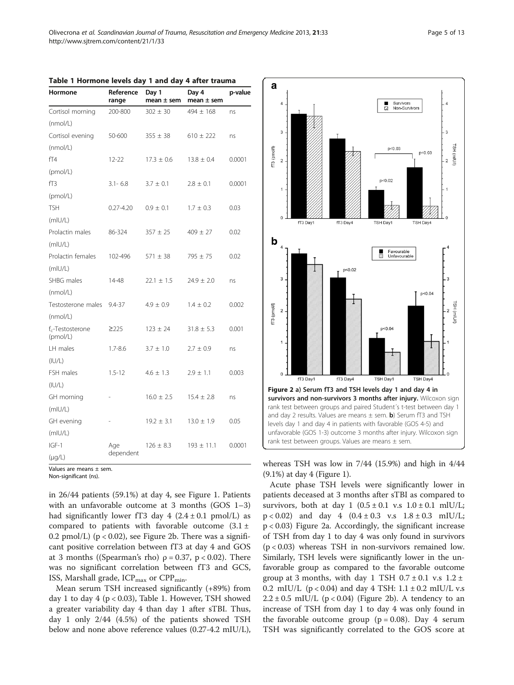| Hormone                         | Reference<br>range | Day 1<br>mean $\pm$ sem | Day 4<br>mean $\pm$ sem | p-value |  |
|---------------------------------|--------------------|-------------------------|-------------------------|---------|--|
| Cortisol morning                | 200-800            | $302 \pm 30$            | $494 \pm 168$           | ns      |  |
| (mmol/L)                        |                    |                         |                         |         |  |
| Cortisol evening                | 50-600             | $355 \pm 38$            | $610 \pm 222$           | ns      |  |
| (mmol/L)                        |                    |                         |                         |         |  |
| fT4                             | $12 - 22$          | $17.3 \pm 0.6$          | $13.8 \pm 0.4$          | 0.0001  |  |
| (pmol/L)                        |                    |                         |                         |         |  |
| fT3                             | $3.1 - 6.8$        | $3.7 \pm 0.1$           | $2.8 \pm 0.1$           | 0.0001  |  |
| (pmol/L)                        |                    |                         |                         |         |  |
| <b>TSH</b>                      | $0.27 - 4.20$      | $0.9 \pm 0.1$           | $1.7 \pm 0.3$           | 0.03    |  |
| (mIU/L)                         |                    |                         |                         |         |  |
| Prolactin males                 | 86-324             | $357 \pm 25$            | $409 \pm 27$            | 0.02    |  |
| (mIU/L)                         |                    |                         |                         |         |  |
| Prolactin females               | 102-496            | $571 \pm 38$            | $795 + 75$              | 0.02    |  |
| (mIU/L)                         |                    |                         |                         |         |  |
| SHBG males                      | 14-48              | $22.1 \pm 1.5$          | $24.9 \pm 2.0$          | ns      |  |
| (mmol/L)                        |                    |                         |                         |         |  |
| Testosterone males              | $9.4 - 37$         | $4.9 \pm 0.9$           | $1.4 \pm 0.2$           | 0.002   |  |
| (mmol/L)                        |                    |                         |                         |         |  |
| $f_c$ -Testosterone<br>(pmol/L) | $\geq$ 225         | $123 \pm 24$            | $31.8 \pm 5.3$          | 0.001   |  |
| LH males                        | $1.7 - 8.6$        | $3.7 \pm 1.0$           | $2.7 \pm 0.9$           | ns      |  |
| (IU/L)                          |                    |                         |                         |         |  |
| FSH males                       | $1.5 - 12$         | $4.6 + 1.3$             | $2.9 \pm 1.1$           | 0.003   |  |
| (IU/L)                          |                    |                         |                         |         |  |
| GH morning                      |                    | $16.0 \pm 2.5$          | $15.4 \pm 2.8$          | ns      |  |
| (mIU/L)                         |                    |                         |                         |         |  |
| GH evening                      |                    | $19.2 \pm 3.1$          | $13.0 \pm 1.9$          | 0.05    |  |
| (mIU/L)                         |                    |                         |                         |         |  |
| $IGF-1$                         | Age                | $126 \pm 8.3$           | $193 \pm 11.1$          | 0.0001  |  |
| $(\mu g/L)$                     | dependent          |                         |                         |         |  |

<span id="page-4-0"></span>

|  |  |  | Table 1 Hormone levels day 1 and day 4 after trauma |  |  |  |  |  |  |  |  |
|--|--|--|-----------------------------------------------------|--|--|--|--|--|--|--|--|
|--|--|--|-----------------------------------------------------|--|--|--|--|--|--|--|--|

Values are means ± sem.

Non-significant (ns).

in 26/44 patients (59.1%) at day 4, see Figure [1.](#page-3-0) Patients with an unfavorable outcome at 3 months (GOS 1–3) had significantly lower fT3 day  $4$  (2.4  $\pm$  0.1 pmol/L) as compared to patients with favorable outcome  $(3.1 \pm$ 0.2 pmol/L) ( $p < 0.02$ ), see Figure 2b. There was a significant positive correlation between fT3 at day 4 and GOS at 3 months ((Spearman's rho)  $ρ = 0.37$ ,  $p < 0.02$ ). There was no significant correlation between fT3 and GCS, ISS, Marshall grade,  $ICP_{max}$  or  $CPP_{min}$ .

Mean serum TSH increased significantly (+89%) from day 1 to day 4 (p < 0.03), Table 1. However, TSH showed a greater variability day 4 than day 1 after sTBI. Thus, day 1 only 2/44 (4.5%) of the patients showed TSH below and none above reference values (0.27-4.2 mIU/L),



whereas TSH was low in 7/44 (15.9%) and high in 4/44 (9.1%) at day 4 (Figure [1\)](#page-3-0).

Acute phase TSH levels were significantly lower in patients deceased at 3 months after sTBI as compared to survivors, both at day 1  $(0.5 \pm 0.1 \text{ v.s } 1.0 \pm 0.1 \text{ mlU/L};$  $p < 0.02$ ) and day 4  $(0.4 \pm 0.3 \text{ v.s } 1.8 \pm 0.3 \text{ m})$  IV/L; p < 0.03) Figure 2a. Accordingly, the significant increase of TSH from day 1 to day 4 was only found in survivors  $(p < 0.03)$  whereas TSH in non-survivors remained low. Similarly, TSH levels were significantly lower in the unfavorable group as compared to the favorable outcome group at 3 months, with day 1 TSH  $0.7 \pm 0.1$  v.s  $1.2 \pm$ 0.2 mIU/L ( $p < 0.04$ ) and day 4 TSH: 1.1  $\pm$  0.2 mIU/L v.s  $2.2 \pm 0.5$  mIU/L (p < 0.04) (Figure 2b). A tendency to an increase of TSH from day 1 to day 4 was only found in the favorable outcome group ( $p = 0.08$ ). Day 4 serum TSH was significantly correlated to the GOS score at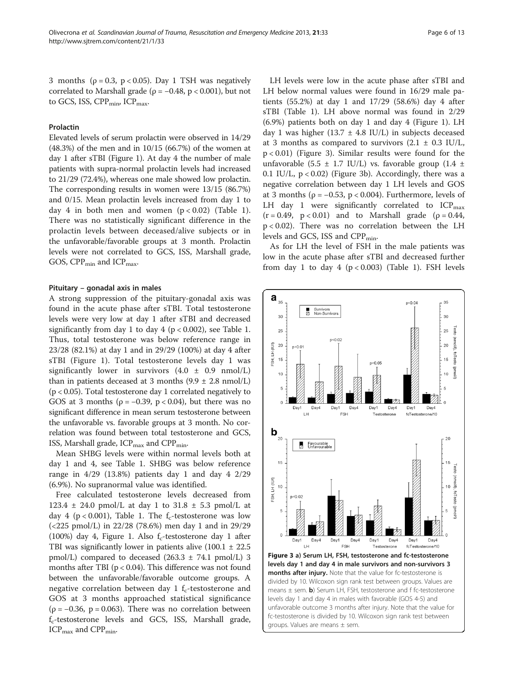3 months ( $\rho = 0.3$ ,  $p < 0.05$ ). Day 1 TSH was negatively correlated to Marshall grade ( $\rho = -0.48$ ,  $p < 0.001$ ), but not to GCS, ISS,  $CPP_{\text{min}}$ ,  $ICP_{\text{max}}$ .

#### Prolactin

Elevated levels of serum prolactin were observed in 14/29 (48.3%) of the men and in 10/15 (66.7%) of the women at day 1 after sTBI (Figure [1](#page-3-0)). At day 4 the number of male patients with supra-normal prolactin levels had increased to 21/29 (72.4%), whereas one male showed low prolactin. The corresponding results in women were 13/15 (86.7%) and 0/15. Mean prolactin levels increased from day 1 to day 4 in both men and women  $(p < 0.02)$  (Table [1](#page-4-0)). There was no statistically significant difference in the prolactin levels between deceased/alive subjects or in the unfavorable/favorable groups at 3 month. Prolactin levels were not correlated to GCS, ISS, Marshall grade, GOS,  $CPP_{\text{min}}$  and  $ICP_{\text{max}}$ .

#### Pituitary – gonadal axis in males

A strong suppression of the pituitary-gonadal axis was found in the acute phase after sTBI. Total testosterone levels were very low at day 1 after sTBI and decreased significantly from day [1](#page-4-0) to day 4 ( $p < 0.002$ ), see Table 1. Thus, total testosterone was below reference range in 23/28 (82.1%) at day 1 and in 29/29 (100%) at day 4 after sTBI (Figure [1\)](#page-3-0). Total testosterone levels day 1 was significantly lower in survivors  $(4.0 \pm 0.9 \text{ nmol/L})$ than in patients deceased at 3 months  $(9.9 \pm 2.8 \text{ nmol/L})$ (p < 0.05). Total testosterone day 1 correlated negatively to GOS at 3 months ( $\rho = -0.39$ ,  $p < 0.04$ ), but there was no significant difference in mean serum testosterone between the unfavorable vs. favorable groups at 3 month. No correlation was found between total testosterone and GCS, ISS, Marshall grade,  $ICP<sub>max</sub>$  and  $CPP<sub>min</sub>$ .

Mean SHBG levels were within normal levels both at day 1 and 4, see Table [1](#page-4-0). SHBG was below reference range in 4/29 (13.8%) patients day 1 and day 4 2/29 (6.9%). No supranormal value was identified.

Free calculated testosterone levels decreased from 123.4  $\pm$  24.0 pmol/L at day 1 to 31.8  $\pm$  5.3 pmol/L at day 4 (p < 0.001), Table [1](#page-4-0). The  $f_c$ -testosterone was low (<225 pmol/L) in 22/28 (78.6%) men day 1 and in 29/29 (100%) day 4, Figure [1](#page-3-0). Also  $f_c$ -testosterone day 1 after TBI was significantly lower in patients alive  $(100.1 \pm 22.5)$ pmol/L) compared to deceased  $(263.3 \pm 74.1 \text{ pmol/L})$  3 months after TBI ( $p < 0.04$ ). This difference was not found between the unfavorable/favorable outcome groups. A negative correlation between day 1  $f_c$ -testosterone and GOS at 3 months approached statistical significance  $(p = -0.36, p = 0.063)$ . There was no correlation between  $f_c$ -testosterone levels and GCS, ISS, Marshall grade,  $ICP<sub>max</sub>$  and  $CPP<sub>min</sub>$ .

LH levels were low in the acute phase after sTBI and LH below normal values were found in 16/29 male patients (55.2%) at day 1 and 17/29 (58.6%) day 4 after sTBI (Table [1\)](#page-4-0). LH above normal was found in 2/29 (6.9%) patients both on day 1 and day 4 (Figure [1](#page-3-0)). LH day 1 was higher (13.7  $\pm$  4.8 IU/L) in subjects deceased at 3 months as compared to survivors  $(2.1 \pm 0.3 \text{ IU/L})$ , p < 0.01) (Figure 3). Similar results were found for the unfavorable (5.5  $\pm$  1.7 IU/L) vs. favorable group (1.4  $\pm$ 0.1 IU/L,  $p < 0.02$ ) (Figure 3b). Accordingly, there was a negative correlation between day 1 LH levels and GOS at 3 months ( $\rho = -0.53$ ,  $p < 0.004$ ). Furthermore, levels of LH day 1 were significantly correlated to  $ICP<sub>max</sub>$  $(r = 0.49, p < 0.01)$  and to Marshall grade ( $\rho = 0.44$ , p < 0.02). There was no correlation between the LH levels and GCS, ISS and  $CPP_{\text{min}}$ .

As for LH the level of FSH in the male patients was low in the acute phase after sTBI and decreased further from day [1](#page-4-0) to day 4 ( $p < 0.003$ ) (Table 1). FSH levels



months after injury. Note that the value for fc-testosterone is divided by 10. Wilcoxon sign rank test between groups. Values are means  $\pm$  sem. **b**) Serum LH, FSH, testosterone and f fc-testosterone levels day 1 and day 4 in males with favorable (GOS 4-5) and unfavorable outcome 3 months after injury. Note that the value for fc-testosterone is divided by 10. Wilcoxon sign rank test between groups. Values are means ± sem.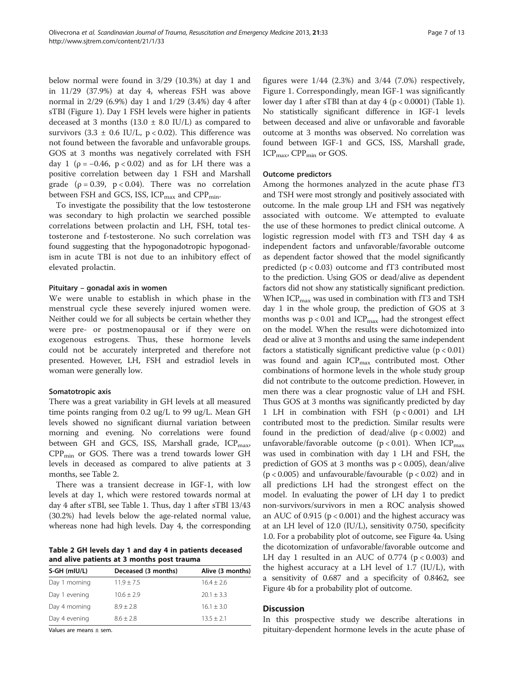below normal were found in 3/29 (10.3%) at day 1 and in 11/29 (37.9%) at day 4, whereas FSH was above normal in 2/29 (6.9%) day 1 and 1/29 (3.4%) day 4 after sTBI (Figure [1\)](#page-3-0). Day 1 FSH levels were higher in patients deceased at 3 months (13.0  $\pm$  8.0 IU/L) as compared to survivors (3.3  $\pm$  0.6 IU/L, p < 0.02). This difference was not found between the favorable and unfavorable groups. GOS at 3 months was negatively correlated with FSH day 1 ( $\rho = -0.46$ ,  $p < 0.02$ ) and as for LH there was a positive correlation between day 1 FSH and Marshall grade ( $\rho = 0.39$ ,  $p < 0.04$ ). There was no correlation between FSH and GCS, ISS,  $ICP<sub>max</sub>$  and  $CPP<sub>min</sub>$ .

To investigate the possibility that the low testosterone was secondary to high prolactin we searched possible correlations between prolactin and LH, FSH, total testosterone and f-testosterone. No such correlation was found suggesting that the hypogonadotropic hypogonadism in acute TBI is not due to an inhibitory effect of elevated prolactin.

#### Pituitary – gonadal axis in women

We were unable to establish in which phase in the menstrual cycle these severely injured women were. Neither could we for all subjects be certain whether they were pre- or postmenopausal or if they were on exogenous estrogens. Thus, these hormone levels could not be accurately interpreted and therefore not presented. However, LH, FSH and estradiol levels in woman were generally low.

#### Somatotropic axis

There was a great variability in GH levels at all measured time points ranging from 0.2 ug/L to 99 ug/L. Mean GH levels showed no significant diurnal variation between morning and evening. No correlations were found between GH and GCS, ISS, Marshall grade,  $ICP<sub>max</sub>$ ,  $CPP<sub>min</sub>$  or GOS. There was a trend towards lower GH levels in deceased as compared to alive patients at 3 months, see Table 2.

There was a transient decrease in IGF-1, with low levels at day 1, which were restored towards normal at day 4 after sTBI, see Table [1](#page-4-0). Thus, day 1 after sTBI 13/43 (30.2%) had levels below the age-related normal value, whereas none had high levels. Day 4, the corresponding

Table 2 GH levels day 1 and day 4 in patients deceased and alive patients at 3 months post trauma

| S-GH (mIU/L)  | Deceased (3 months) | Alive (3 months) |
|---------------|---------------------|------------------|
| Day 1 morning | $11.9 + 7.5$        | $16.4 + 2.6$     |
| Day 1 evening | $10.6 + 2.9$        | $20.1 + 3.3$     |
| Day 4 morning | $8.9 + 2.8$         | $16.1 + 3.0$     |
| Day 4 evening | $8.6 + 2.8$         | $13.5 + 2.1$     |

Values are means ± sem.

figures were  $1/44$  (2.3%) and  $3/44$  (7.0%) respectively, Figure [1.](#page-3-0) Correspondingly, mean IGF-1 was significantly lower day 1 after sTBI than at day 4 (p < 0.0001) (Table [1](#page-4-0)). No statistically significant difference in IGF-1 levels between deceased and alive or unfavorable and favorable outcome at 3 months was observed. No correlation was found between IGF-1 and GCS, ISS, Marshall grade, ICP<sub>max</sub>, CPP<sub>min</sub> or GOS.

#### Outcome predictors

Among the hormones analyzed in the acute phase fT3 and TSH were most strongly and positively associated with outcome. In the male group LH and FSH was negatively associated with outcome. We attempted to evaluate the use of these hormones to predict clinical outcome. A logistic regression model with fT3 and TSH day 4 as independent factors and unfavorable/favorable outcome as dependent factor showed that the model significantly predicted ( $p < 0.03$ ) outcome and fT3 contributed most to the prediction. Using GOS or dead/alive as dependent factors did not show any statistically significant prediction. When  $ICP_{max}$  was used in combination with fT3 and TSH day 1 in the whole group, the prediction of GOS at 3 months was  $p < 0.01$  and ICP<sub>max</sub> had the strongest effect on the model. When the results were dichotomized into dead or alive at 3 months and using the same independent factors a statistically significant predictive value  $(p < 0.01)$ was found and again  $ICP<sub>max</sub>$  contributed most. Other combinations of hormone levels in the whole study group did not contribute to the outcome prediction. However, in men there was a clear prognostic value of LH and FSH. Thus GOS at 3 months was significantly predicted by day 1 LH in combination with FSH (p < 0.001) and LH contributed most to the prediction. Similar results were found in the prediction of dead/alive  $(p < 0.002)$  and unfavorable/favorable outcome ( $p < 0.01$ ). When ICP<sub>max</sub> was used in combination with day 1 LH and FSH, the prediction of GOS at 3 months was p < 0.005), dean/alive ( $p < 0.005$ ) and unfavourable/favourable ( $p < 0.02$ ) and in all predictions LH had the strongest effect on the model. In evaluating the power of LH day 1 to predict non-survivors/survivors in men a ROC analysis showed an AUC of 0.915 ( $p < 0.001$ ) and the highest accuracy was at an LH level of 12.0 (IU/L), sensitivity 0.750, specificity 1.0. For a probability plot of outcome, see Figure [4](#page-7-0)a. Using the dicotomization of unfavorable/favorable outcome and LH day 1 resulted in an AUC of 0.774 ( $p < 0.003$ ) and the highest accuracy at a LH level of 1.7 (IU/L), with a sensitivity of 0.687 and a specificity of 0.8462, see Figure [4](#page-7-0)b for a probability plot of outcome.

#### **Discussion**

In this prospective study we describe alterations in pituitary-dependent hormone levels in the acute phase of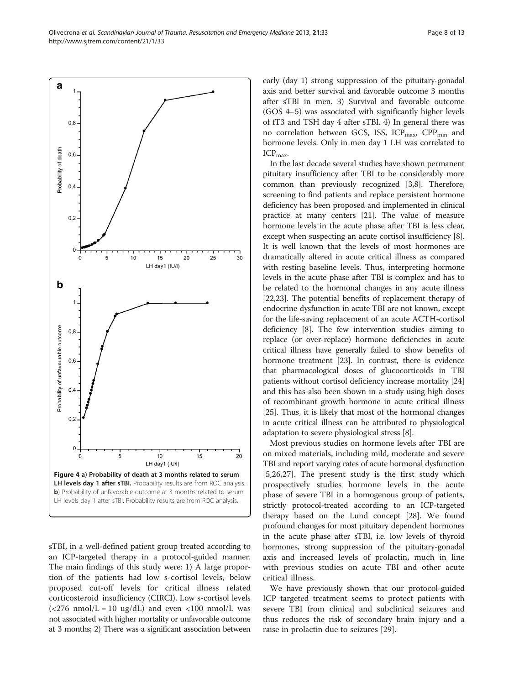<span id="page-7-0"></span>Olivecrona et al. Scandinavian Journal of Trauma, Resuscitation and Emergency Medicine 2013, 21:33 Page 8 of 13 http://www.sjtrem.com/content/21/1/33



sTBI, in a well-defined patient group treated according to an ICP-targeted therapy in a protocol-guided manner. The main findings of this study were: 1) A large proportion of the patients had low s-cortisol levels, below proposed cut-off levels for critical illness related corticosteroid insufficiency (CIRCI). Low s-cortisol levels  $\langle$  <276 nmol/L = 10 ug/dL) and even <100 nmol/L was not associated with higher mortality or unfavorable outcome at 3 months; 2) There was a significant association between early (day 1) strong suppression of the pituitary-gonadal axis and better survival and favorable outcome 3 months after sTBI in men. 3) Survival and favorable outcome (GOS 4–5) was associated with significantly higher levels of fT3 and TSH day 4 after sTBI. 4) In general there was no correlation between GCS, ISS,  $ICP_{max}$ ,  $CPP_{min}$  and hormone levels. Only in men day 1 LH was correlated to  $ICP<sub>max</sub>$ .

In the last decade several studies have shown permanent pituitary insufficiency after TBI to be considerably more common than previously recognized [\[3](#page-10-0)[,8](#page-11-0)]. Therefore, screening to find patients and replace persistent hormone deficiency has been proposed and implemented in clinical practice at many centers [\[21](#page-11-0)]. The value of measure hormone levels in the acute phase after TBI is less clear, except when suspecting an acute cortisol insufficiency [[8](#page-11-0)]. It is well known that the levels of most hormones are dramatically altered in acute critical illness as compared with resting baseline levels. Thus, interpreting hormone levels in the acute phase after TBI is complex and has to be related to the hormonal changes in any acute illness [[22](#page-11-0),[23](#page-11-0)]. The potential benefits of replacement therapy of endocrine dysfunction in acute TBI are not known, except for the life-saving replacement of an acute ACTH-cortisol deficiency [\[8](#page-11-0)]. The few intervention studies aiming to replace (or over-replace) hormone deficiencies in acute critical illness have generally failed to show benefits of hormone treatment [[23](#page-11-0)]. In contrast, there is evidence that pharmacological doses of glucocorticoids in TBI patients without cortisol deficiency increase mortality [[24](#page-11-0)] and this has also been shown in a study using high doses of recombinant growth hormone in acute critical illness [[25](#page-11-0)]. Thus, it is likely that most of the hormonal changes in acute critical illness can be attributed to physiological adaptation to severe physiological stress [[8](#page-11-0)].

Most previous studies on hormone levels after TBI are on mixed materials, including mild, moderate and severe TBI and report varying rates of acute hormonal dysfunction [[5](#page-10-0)[,26,27](#page-11-0)]. The present study is the first study which prospectively studies hormone levels in the acute phase of severe TBI in a homogenous group of patients, strictly protocol-treated according to an ICP-targeted therapy based on the Lund concept [[28](#page-11-0)]. We found profound changes for most pituitary dependent hormones in the acute phase after sTBI, i.e. low levels of thyroid hormones, strong suppression of the pituitary-gonadal axis and increased levels of prolactin, much in line with previous studies on acute TBI and other acute critical illness.

We have previously shown that our protocol-guided ICP targeted treatment seems to protect patients with severe TBI from clinical and subclinical seizures and thus reduces the risk of secondary brain injury and a raise in prolactin due to seizures [\[29](#page-11-0)].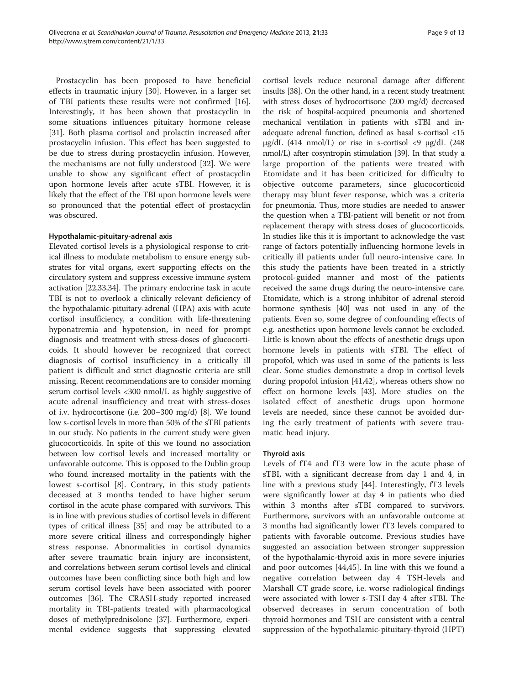Prostacyclin has been proposed to have beneficial effects in traumatic injury [[30\]](#page-11-0). However, in a larger set of TBI patients these results were not confirmed [\[16](#page-11-0)]. Interestingly, it has been shown that prostacyclin in some situations influences pituitary hormone release [[31\]](#page-11-0). Both plasma cortisol and prolactin increased after prostacyclin infusion. This effect has been suggested to be due to stress during prostacyclin infusion. However, the mechanisms are not fully understood [[32\]](#page-11-0). We were unable to show any significant effect of prostacyclin upon hormone levels after acute sTBI. However, it is likely that the effect of the TBI upon hormone levels were so pronounced that the potential effect of prostacyclin was obscured.

#### Hypothalamic-pituitary-adrenal axis

Elevated cortisol levels is a physiological response to critical illness to modulate metabolism to ensure energy substrates for vital organs, exert supporting effects on the circulatory system and suppress excessive immune system activation [[22,33,34\]](#page-11-0). The primary endocrine task in acute TBI is not to overlook a clinically relevant deficiency of the hypothalamic-pituitary-adrenal (HPA) axis with acute cortisol insufficiency, a condition with life-threatening hyponatremia and hypotension, in need for prompt diagnosis and treatment with stress-doses of glucocorticoids. It should however be recognized that correct diagnosis of cortisol insufficiency in a critically ill patient is difficult and strict diagnostic criteria are still missing. Recent recommendations are to consider morning serum cortisol levels <300 nmol/L as highly suggestive of acute adrenal insufficiency and treat with stress-doses of i.v. hydrocortisone (i.e. 200–300 mg/d) [\[8](#page-11-0)]. We found low s-cortisol levels in more than 50% of the sTBI patients in our study. No patients in the current study were given glucocorticoids. In spite of this we found no association between low cortisol levels and increased mortality or unfavorable outcome. This is opposed to the Dublin group who found increased mortality in the patients with the lowest s-cortisol [[8\]](#page-11-0). Contrary, in this study patients deceased at 3 months tended to have higher serum cortisol in the acute phase compared with survivors. This is in line with previous studies of cortisol levels in different types of critical illness [[35](#page-11-0)] and may be attributed to a more severe critical illness and correspondingly higher stress response. Abnormalities in cortisol dynamics after severe traumatic brain injury are inconsistent, and correlations between serum cortisol levels and clinical outcomes have been conflicting since both high and low serum cortisol levels have been associated with poorer outcomes [\[36\]](#page-11-0). The CRASH-study reported increased mortality in TBI-patients treated with pharmacological doses of methylprednisolone [\[37\]](#page-11-0). Furthermore, experimental evidence suggests that suppressing elevated

cortisol levels reduce neuronal damage after different insults [\[38](#page-11-0)]. On the other hand, in a recent study treatment with stress doses of hydrocortisone (200 mg/d) decreased the risk of hospital-acquired pneumonia and shortened mechanical ventilation in patients with sTBI and inadequate adrenal function, defined as basal s-cortisol <15 μg/dL  $(414 \text{ nmol/L})$  or rise in s-cortisol <9 μg/dL  $(248 \text{ nmol/L})$ nmol/L) after cosyntropin stimulation [\[39\]](#page-11-0). In that study a large proportion of the patients were treated with Etomidate and it has been criticized for difficulty to objective outcome parameters, since glucocorticoid therapy may blunt fever response, which was a criteria for pneumonia. Thus, more studies are needed to answer the question when a TBI-patient will benefit or not from replacement therapy with stress doses of glucocorticoids. In studies like this it is important to acknowledge the vast range of factors potentially influencing hormone levels in critically ill patients under full neuro-intensive care. In this study the patients have been treated in a strictly protocol-guided manner and most of the patients received the same drugs during the neuro-intensive care. Etomidate, which is a strong inhibitor of adrenal steroid hormone synthesis [[40](#page-11-0)] was not used in any of the patients. Even so, some degree of confounding effects of e.g. anesthetics upon hormone levels cannot be excluded. Little is known about the effects of anesthetic drugs upon hormone levels in patients with sTBI. The effect of propofol, which was used in some of the patients is less clear. Some studies demonstrate a drop in cortisol levels during propofol infusion [[41,42\]](#page-11-0), whereas others show no effect on hormone levels [\[43](#page-11-0)]. More studies on the isolated effect of anesthetic drugs upon hormone levels are needed, since these cannot be avoided during the early treatment of patients with severe traumatic head injury.

## Thyroid axis

Levels of fT4 and fT3 were low in the acute phase of sTBI, with a significant decrease from day 1 and 4, in line with a previous study [[44\]](#page-11-0). Interestingly, fT3 levels were significantly lower at day 4 in patients who died within 3 months after sTBI compared to survivors. Furthermore, survivors with an unfavorable outcome at 3 months had significantly lower fT3 levels compared to patients with favorable outcome. Previous studies have suggested an association between stronger suppression of the hypothalamic-thyroid axis in more severe injuries and poor outcomes [[44,45\]](#page-11-0). In line with this we found a negative correlation between day 4 TSH-levels and Marshall CT grade score, i.e. worse radiological findings were associated with lower s-TSH day 4 after sTBI. The observed decreases in serum concentration of both thyroid hormones and TSH are consistent with a central suppression of the hypothalamic-pituitary-thyroid (HPT)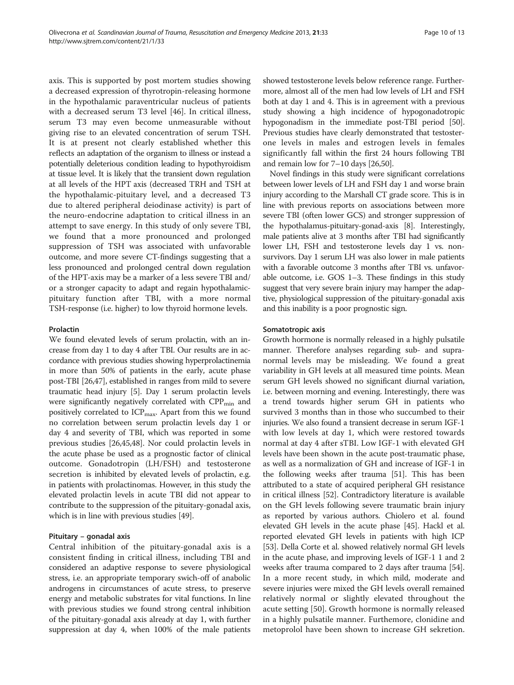axis. This is supported by post mortem studies showing a decreased expression of thyrotropin-releasing hormone in the hypothalamic paraventricular nucleus of patients with a decreased serum T3 level [\[46](#page-11-0)]. In critical illness, serum T3 may even become unmeasurable without giving rise to an elevated concentration of serum TSH. It is at present not clearly established whether this reflects an adaptation of the organism to illness or instead a potentially deleterious condition leading to hypothyroidism at tissue level. It is likely that the transient down regulation at all levels of the HPT axis (decreased TRH and TSH at the hypothalamic-pituitary level, and a decreased T3 due to altered peripheral deiodinase activity) is part of the neuro-endocrine adaptation to critical illness in an attempt to save energy. In this study of only severe TBI, we found that a more pronounced and prolonged suppression of TSH was associated with unfavorable outcome, and more severe CT-findings suggesting that a less pronounced and prolonged central down regulation of the HPT-axis may be a marker of a less severe TBI and/ or a stronger capacity to adapt and regain hypothalamicpituitary function after TBI, with a more normal TSH-response (i.e. higher) to low thyroid hormone levels.

## Prolactin

We found elevated levels of serum prolactin, with an increase from day 1 to day 4 after TBI. Our results are in accordance with previous studies showing hyperprolactinemia in more than 50% of patients in the early, acute phase post-TBI [[26](#page-11-0)[,47\]](#page-12-0), established in ranges from mild to severe traumatic head injury [\[5](#page-10-0)]. Day 1 serum prolactin levels were significantly negatively correlated with CPP<sub>min</sub> and positively correlated to ICP<sub>max</sub>. Apart from this we found no correlation between serum prolactin levels day 1 or day 4 and severity of TBI, which was reported in some previous studies [\[26,45,](#page-11-0)[48](#page-12-0)]. Nor could prolactin levels in the acute phase be used as a prognostic factor of clinical outcome. Gonadotropin (LH/FSH) and testosterone secretion is inhibited by elevated levels of prolactin, e.g. in patients with prolactinomas. However, in this study the elevated prolactin levels in acute TBI did not appear to contribute to the suppression of the pituitary-gonadal axis, which is in line with previous studies [[49\]](#page-12-0).

## Pituitary – gonadal axis

Central inhibition of the pituitary-gonadal axis is a consistent finding in critical illness, including TBI and considered an adaptive response to severe physiological stress, i.e. an appropriate temporary swich-off of anabolic androgens in circumstances of acute stress, to preserve energy and metabolic substrates for vital functions. In line with previous studies we found strong central inhibition of the pituitary-gonadal axis already at day 1, with further suppression at day 4, when 100% of the male patients showed testosterone levels below reference range. Furthermore, almost all of the men had low levels of LH and FSH both at day 1 and 4. This is in agreement with a previous study showing a high incidence of hypogonadotropic hypogonadism in the immediate post-TBI period [[50](#page-12-0)]. Previous studies have clearly demonstrated that testosterone levels in males and estrogen levels in females significantly fall within the first 24 hours following TBI and remain low for 7–10 days [[26,](#page-11-0)[50](#page-12-0)].

Novel findings in this study were significant correlations between lower levels of LH and FSH day 1 and worse brain injury according to the Marshall CT grade score. This is in line with previous reports on associations between more severe TBI (often lower GCS) and stronger suppression of the hypothalamus-pituitary-gonad-axis [\[8\]](#page-11-0). Interestingly, male patients alive at 3 months after TBI had significantly lower LH, FSH and testosterone levels day 1 vs. nonsurvivors. Day 1 serum LH was also lower in male patients with a favorable outcome 3 months after TBI vs. unfavorable outcome, i.e. GOS 1–3. These findings in this study suggest that very severe brain injury may hamper the adaptive, physiological suppression of the pituitary-gonadal axis and this inability is a poor prognostic sign.

## Somatotropic axis

Growth hormone is normally released in a highly pulsatile manner. Therefore analyses regarding sub- and supranormal levels may be misleading. We found a great variability in GH levels at all measured time points. Mean serum GH levels showed no significant diurnal variation, i.e. between morning and evening. Interestingly, there was a trend towards higher serum GH in patients who survived 3 months than in those who succumbed to their injuries. We also found a transient decrease in serum IGF-1 with low levels at day 1, which were restored towards normal at day 4 after sTBI. Low IGF-1 with elevated GH levels have been shown in the acute post-traumatic phase, as well as a normalization of GH and increase of IGF-1 in the following weeks after trauma [[51](#page-12-0)]. This has been attributed to a state of acquired peripheral GH resistance in critical illness [\[52](#page-12-0)]. Contradictory literature is available on the GH levels following severe traumatic brain injury as reported by various authors. Chiolero et al. found elevated GH levels in the acute phase [\[45\]](#page-11-0). Hackl et al. reported elevated GH levels in patients with high ICP [[53](#page-12-0)]. Della Corte et al. showed relatively normal GH levels in the acute phase, and improving levels of IGF-1 1 and 2 weeks after trauma compared to 2 days after trauma [[54](#page-12-0)]. In a more recent study, in which mild, moderate and severe injuries were mixed the GH levels overall remained relatively normal or slightly elevated throughout the acute setting [\[50](#page-12-0)]. Growth hormone is normally released in a highly pulsatile manner. Furthemore, clonidine and metoprolol have been shown to increase GH sekretion.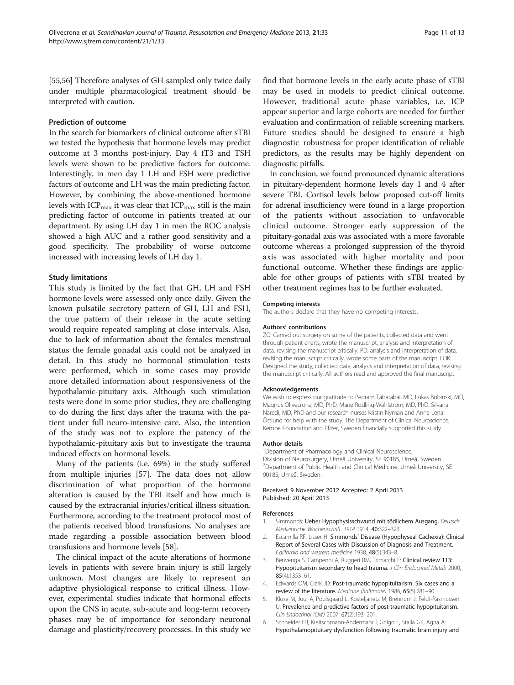<span id="page-10-0"></span>[[55,56](#page-12-0)] Therefore analyses of GH sampled only twice daily under multiple pharmacological treatment should be interpreted with caution.

#### Prediction of outcome

In the search for biomarkers of clinical outcome after sTBI we tested the hypothesis that hormone levels may predict outcome at 3 months post-injury. Day 4 fT3 and TSH levels were shown to be predictive factors for outcome. Interestingly, in men day 1 LH and FSH were predictive factors of outcome and LH was the main predicting factor. However, by combining the above-mentioned hormone levels with  $ICP_{max}$  it was clear that  $ICP_{max}$  still is the main predicting factor of outcome in patients treated at our department. By using LH day 1 in men the ROC analysis showed a high AUC and a rather good sensitivity and a good specificity. The probability of worse outcome increased with increasing levels of LH day 1.

#### Study limitations

This study is limited by the fact that GH, LH and FSH hormone levels were assessed only once daily. Given the known pulsatile secretory pattern of GH, LH and FSH, the true pattern of their release in the acute setting would require repeated sampling at close intervals. Also, due to lack of information about the females menstrual status the female gonadal axis could not be analyzed in detail. In this study no hormonal stimulation tests were performed, which in some cases may provide more detailed information about responsiveness of the hypothalamic-pituitary axis. Although such stimulation tests were done in some prior studies, they are challenging to do during the first days after the trauma with the patient under full neuro-intensive care. Also, the intention of the study was not to explore the patency of the hypothalamic-pituitary axis but to investigate the trauma induced effects on hormonal levels.

Many of the patients (i.e. 69%) in the study suffered from multiple injuries [[57](#page-12-0)]. The data does not allow discrimination of what proportion of the hormone alteration is caused by the TBI itself and how much is caused by the extracranial injuries/critical illness situation. Furthermore, according to the treatment protocol most of the patients received blood transfusions. No analyses are made regarding a possible association between blood transfusions and hormone levels [[58](#page-12-0)].

The clinical impact of the acute alterations of hormone levels in patients with severe brain injury is still largely unknown. Most changes are likely to represent an adaptive physiological response to critical illness. However, experimental studies indicate that hormonal effects upon the CNS in acute, sub-acute and long-term recovery phases may be of importance for secondary neuronal damage and plasticity/recovery processes. In this study we find that hormone levels in the early acute phase of sTBI may be used in models to predict clinical outcome. However, traditional acute phase variables, i.e. ICP appear superior and large cohorts are needed for further evaluation and confirmation of reliable screening markers. Future studies should be designed to ensure a high diagnostic robustness for proper identification of reliable predictors, as the results may be highly dependent on diagnostic pitfalls.

In conclusion, we found pronounced dynamic alterations in pituitary-dependent hormone levels day 1 and 4 after severe TBI. Cortisol levels below proposed cut-off limits for adrenal insufficiency were found in a large proportion of the patients without association to unfavorable clinical outcome. Stronger early suppression of the pituitary-gonadal axis was associated with a more favorable outcome whereas a prolonged suppression of the thyroid axis was associated with higher mortality and poor functional outcome. Whether these findings are applicable for other groups of patients with sTBI treated by other treatment regimes has to be further evaluated.

#### Competing interests

The authors declare that they have no competing interests.

#### Authors' contributions

ZO: Carried out surgery on some of the patients, collected data and went through patient charts, wrote the manuscript, analysis and interpretation of data, revising the manuscript critically. PD: analysis and interpretation of data, revising the manuscript critically, wrote some parts of the manuscript. LOK: Designed the study, collected data, analysis and interpretation of data, revising the manuscript critically. All authors read and approved the final manuscript.

#### Acknowledgements

We wish to express our gratitude to Pedram Tabatabai, MD, Lukas Bobinski, MD, Magnus Olivecrona, MD, PhD, Marie Rodling-Wahlström, MD, PhD, Silvana Naredi, MD, PhD and our research nurses Kristin Nyman and Anna-Lena Östlund for help with the study. The Department of Clinical Neuroscience, Kempe Foundation and Pfizer, Sweden financially supported this study.

#### Author details

<sup>1</sup>Department of Pharmacology and Clinical Neuroscience, Division of Neurosurgery, Umeå University, SE 90185, Umeå, Sweden. <sup>2</sup> Department of Public Health and Clinical Medicine, Umeå University, SE 90185, Umeå, Sweden.

#### Received: 9 November 2012 Accepted: 2 April 2013 Published: 20 April 2013

#### References

- 1. Simmonds: Ueber Hypophysisschwund mit tödlichem Ausgang. Deutsch Medizinische Wochenschrift. 1914 1914, 40:322–323.
- 2. Escamilla RF, Lisser H: Simmonds' Disease (Hypophyseal Cachexia): Clinical Report of Several Cases with Discussion of Diagnosis and Treatment. California and western medicine 1938, 48(5):343–8.
- 3. Benvenga S, Campenni A, Ruggeri RM, Trimarchi F: Clinical review 113: Hypopituitarism secondary to head trauma. J Clin Endocrinol Metab 2000, 85(4):1353–61.
- 4. Edwards OM, Clark JD: Post-traumatic hypopituitarism. Six cases and a review of the literature. Medicine (Baltimore) 1986, 65(5):281–90.
- 5. Klose M, Juul A, Poulsgaard L, Kosteljanetz M, Brennum J, Feldt-Rasmussen U: Prevalence and predictive factors of post-traumatic hypopituitarism. Clin Endocrinol (Oxf) 2007, 67(2):193–201.
- 6. Schneider HJ, Kreitschmann-Andermahr I, Ghigo E, Stalla GK, Agha A: Hypothalamopituitary dysfunction following traumatic brain injury and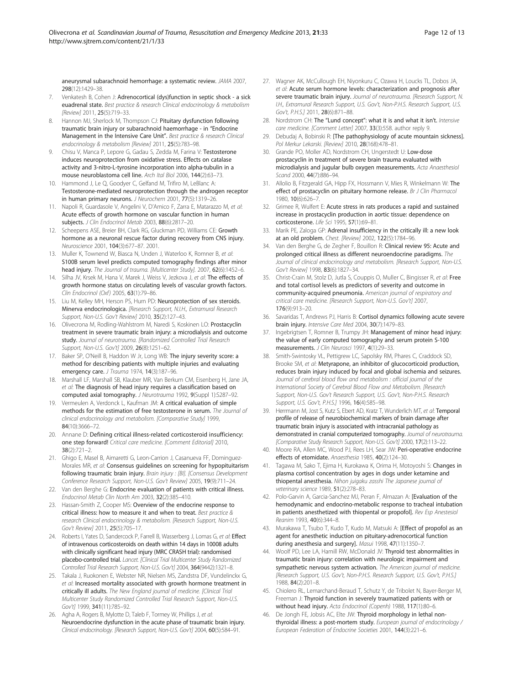<span id="page-11-0"></span>aneurysmal subarachnoid hemorrhage: a systematic review. JAMA 2007, 298(12):1429–38.

- 7. Venkatesh B, Cohen J: Adrenocortical (dys)function in septic shock a sick euadrenal state. Best practice & research Clinical endocrinology & metabolism [Review] 2011, 25(5):719-33.
- Hannon MJ, Sherlock M, Thompson CJ: Pituitary dysfunction following traumatic brain injury or subarachnoid haemorrhage - in "Endocrine Management in the Intensive Care Unit". Best practice & research Clinical endocrinology & metabolism [Review] 2011, 25(5):783–98.
- Chisu V, Manca P, Lepore G, Gadau S, Zedda M, Farina V: Testosterone induces neuroprotection from oxidative stress. Effects on catalase activity and 3-nitro-L-tyrosine incorporation into alpha-tubulin in a mouse neuroblastoma cell line. Arch Ital Biol 2006, 144(2):63–73.
- 10. Hammond J, Le Q, Goodyer C, Gelfand M, Trifiro M, LeBlanc A: Testosterone-mediated neuroprotection through the androgen receptor in human primary neurons. J Neurochem 2001, 77(5):1319–26.
- 11. Napoli R, Guardasole V, Angelini V, D'Amico F, Zarra E, Matarazzo M, et al: Acute effects of growth hormone on vascular function in human subjects. J Clin Endocrinol Metab 2003, 88(6):2817-20.
- 12. Scheepens ASE, Breier BH, Clark RG, Gluckman PD, Williams CE: Growth hormone as a neuronal rescue factor during recovery from CNS injury. Neuroscience 2001, 104(3):677–87. 2001.
- 13. Muller K, Townend W, Biasca N, Unden J, Waterloo K, Romner B, et al: S100B serum level predicts computed tomography findings after minor head injury. The Journal of trauma. [Multicenter Study]. 2007, 62(6):1452-6.
- 14. Silha JV, Krsek M, Hana V, Marek J, Weiss V, Jezkova J, et al: The effects of growth hormone status on circulating levels of vascular growth factors. Clin Endocrinol (Oxf) 2005, 63(1):79–86.
- Liu M, Kelley MH, Herson PS, Hurn PD: Neuroprotection of sex steroids. Minerva endocrinologica. [Research Support, N.I.H., Extramural Research Support, Non-U.S. Gov't Review] 2010, 35(2):127–43.
- 16. Olivecrona M, Rodling-Wahlstrom M, Naredi S, Koskinen LO: Prostacyclin treatment in severe traumatic brain injury: a microdialysis and outcome study. Journal of neurotrauma. [Randomized Controlled Trial Research Support, Non-U.S. Gov't] 2009, 26(8):1251–62.
- 17. Baker SP, O'Neill B, Haddon W Jr, Long WB: The injury severity score: a method for describing patients with multiple injuries and evaluating emergency care. J Trauma 1974, 14(3):187-96.
- 18. Marshall LF, Marshall SB, Klauber MR, Van Berkum CM, Eisenberg H, Jane JA, et al: The diagnosis of head injury requires a classification based on computed axial tomography. J Neurotrauma 1992, 9(Suppl 1):S287–92.
- 19. Vermeulen A, Verdonck L, Kaufman JM: A critical evaluation of simple methods for the estimation of free testosterone in serum. The Journal of clinical endocrinology and metabolism. [Comparative Study] 1999, 84(10):3666–72.
- 20. Annane D: Defining critical illness-related corticosteroid insufficiency: one step forward! Critical care medicine. [Comment Editorial] 2010, 38(2):721–2.
- 21. Ghigo E, Masel B, Aimaretti G, Leon-Carrion J, Casanueva FF, Dominguez-Morales MR, et al: Consensus guidelines on screening for hypopituitarism following traumatic brain injury. Brain injury : [BI]. [Consensus Development Conference Research Support, Non-U.S. Gov't Review] 2005, 19(9):711–24.
- 22. Van den Berghe G: Endocrine evaluation of patients with critical illness. Endocrinol Metab Clin North Am 2003, 32(2):385–410.
- 23. Hassan-Smith Z, Cooper MS: Overview of the endocrine response to critical illness: how to measure it and when to treat. Best practice & research Clinical endocrinology & metabolism. [Research Support, Non-U.S. Gov't Review] 2011, 25(5):705–17.
- 24. Roberts I, Yates D, Sandercock P, Farrell B, Wasserberg J, Lomas G, et al: Effect of intravenous corticosteroids on death within 14 days in 10008 adults with clinically significant head injury (MRC CRASH trial): randomised placebo-controlled trial. Lancet. [Clinical Trial Multicenter Study Randomized Controlled Trial Research Support, Non-U.S. Gov't] 2004, 364(9442):1321–8.
- 25. Takala J, Ruokonen E, Webster NR, Nielsen MS, Zandstra DF, Vundelinckx G, et al: Increased mortality associated with growth hormone treatment in critically ill adults. The New England journal of medicine. [Clinical Trial Multicenter Study Randomized Controlled Trial Research Support, Non-U.S. Gov't] 1999, 341(11):785–92.
- 26. Agha A, Rogers B, Mylotte D, Taleb F, Tormey W, Phillips J, et al: Neuroendocrine dysfunction in the acute phase of traumatic brain injury. Clinical endocrinology. [Research Support, Non-U.S. Gov't] 2004, 60(5):584–91.
- 27. Wagner AK, McCullough EH, Niyonkuru C, Ozawa H, Loucks TL, Dobos JA, et al: Acute serum hormone levels: characterization and prognosis after severe traumatic brain injury. Journal of neurotrauma. [Research Support, N. I.H., Extramural Research Support, U.S. Gov't, Non-P.H.S. Research Support, U.S. Gov't, P.H.S.] 2011, 28(6):871–88.
- 28. Nordstrom CH: The "Lund concept": what it is and what it isn't. Intensive care medicine. [Comment Letter] 2007, 33(3):558. author reply 9.
- 29. Debudaj A, Bobinski R: [The pathophysiology of acute mountain sickness]. Pol Merkur Lekarski. [Review] 2010, 28(168):478–81.
- 30. Grande PO, Moller AD, Nordstrom CH, Ungerstedt U: Low-dose prostacyclin in treatment of severe brain trauma evaluated with microdialysis and jugular bulb oxygen measurements. Acta Anaesthesiol Scand 2000, 44(7):886–94.
- 31. Allolio B, Fitzgerald GA, Hipp FX, Hossmann V, Mies R, Winkelmann W: The effect of prostacyclin on pituitary hormone release. Br J Clin Pharmacol 1980, 10(6):626–7.
- 32. Grimee R, Wulfert E: Acute stress in rats produces a rapid and sustained increase in prostacyclin production in aortic tissue: dependence on corticosterone. Life Sci 1995, 57(1):69–81.
- 33. Marik PE, Zaloga GP: Adrenal insufficiency in the critically ill: a new look at an old problem. Chest. [Review] 2002, 122(5):1784–96.
- Van den Berghe G, de Zegher F, Bouillon R: Clinical review 95: Acute and prolonged critical illness as different neuroendocrine paradigms. The Journal of clinical endocrinology and metabolism. [Research Support, Non-U.S. Gov't Review] 1998, 83(6):1827–34.
- 35. Christ-Crain M, Stolz D, Jutla S, Couppis O, Muller C, Bingisser R, et al: Free and total cortisol levels as predictors of severity and outcome in community-acquired pneumonia. American journal of respiratory and critical care medicine. [Research Support, Non-U.S. Gov't] 2007, 176(9):913–20.
- 36. Savaridas T, Andrews PJ, Harris B: Cortisol dynamics following acute severe brain injury. Intensive Care Med 2004, 30(7):1479–83.
- 37. Ingebrigtsen T, Romner B, Trumpy JH: Management of minor head injury: the value of early computed tomography and serum protein S-100 measurements. J Clin Neurosci 1997, 4(1):29–33.
- 38. Smith-Swintosky VL, Pettigrew LC, Sapolsky RM, Phares C, Craddock SD, Brooke SM, et al: Metyrapone, an inhibitor of glucocorticoid production, reduces brain injury induced by focal and global ischemia and seizures. Journal of cerebral blood flow and metabolism : official journal of the International Society of Cerebral Blood Flow and Metabolism. [Research Support, Non-U.S. Gov't Research Support, U.S. Gov't, Non-P.H.S. Research Support, U.S. Gov't, P.H.S.] 1996, 16(4):585–98.
- 39. Herrmann M, Jost S, Kutz S, Ebert AD, Kratz T, Wunderlich MT, et al: Temporal profile of release of neurobiochemical markers of brain damage after traumatic brain injury is associated with intracranial pathology as demonstrated in cranial computerized tomography. Journal of neurotrauma. [Comparative Study Research Support, Non-U.S. Gov't] 2000, 17(2):113–22.
- 40. Moore RA, Allen MC, Wood PJ, Rees LH, Sear JW: Peri-operative endocrine effects of etomidate. Anaesthesia 1985, 40(2):124–30.
- 41. Tagawa M, Sako T, Ejima H, Kurokawa K, Orima H, Motoyoshi S: Changes in plasma cortisol concentration by ages in dogs under ketamine and thiopental anesthesia. Nihon juigaku zasshi The Japanese journal of veterinary science 1989, 51(2):278–83.
- 42. Polo-Garvin A, Garcia-Sanchez MJ, Peran F, Almazan A: [Evaluation of the hemodynamic and endocrino-metabolic response to tracheal intubation in patients anesthetized with thiopental or propofol]. Rev Esp Anestesiol Reanim 1993, 40(6):344-8.
- 43. Murakawa T, Tsubo T, Kudo T, Kudo M, Matsuki A: [Effect of propofol as an agent for anesthetic induction on pituitary-adrenocortical function during anesthesia and surgery]. Masui 1998, 47(11):1350–7.
- 44. Woolf PD, Lee LA, Hamill RW, McDonald JV: Thyroid test abnormalities in traumatic brain injury: correlation with neurologic impairment and sympathetic nervous system activation. The American journal of medicine. [Research Support, U.S. Gov't, Non-P.H.S. Research Support, U.S. Gov't, P.H.S.] 1988, 84(2):201–8.
- 45. Chiolero RL, Lemarchand-Beraud T, Schutz Y, de Tribolet N, Bayer-Berger M, Freeman J: Thyroid function in severely traumatized patients with or without head injury. Acta Endocrinol (Copenh) 1988, 117(1):80–6.
- 46. De Jongh FE, Jobsis AC, Elte JW: Thyroid morphology in lethal nonthyroidal illness: a post-mortem study. European journal of endocrinology / European Federation of Endocrine Societies 2001, 144(3):221–6.